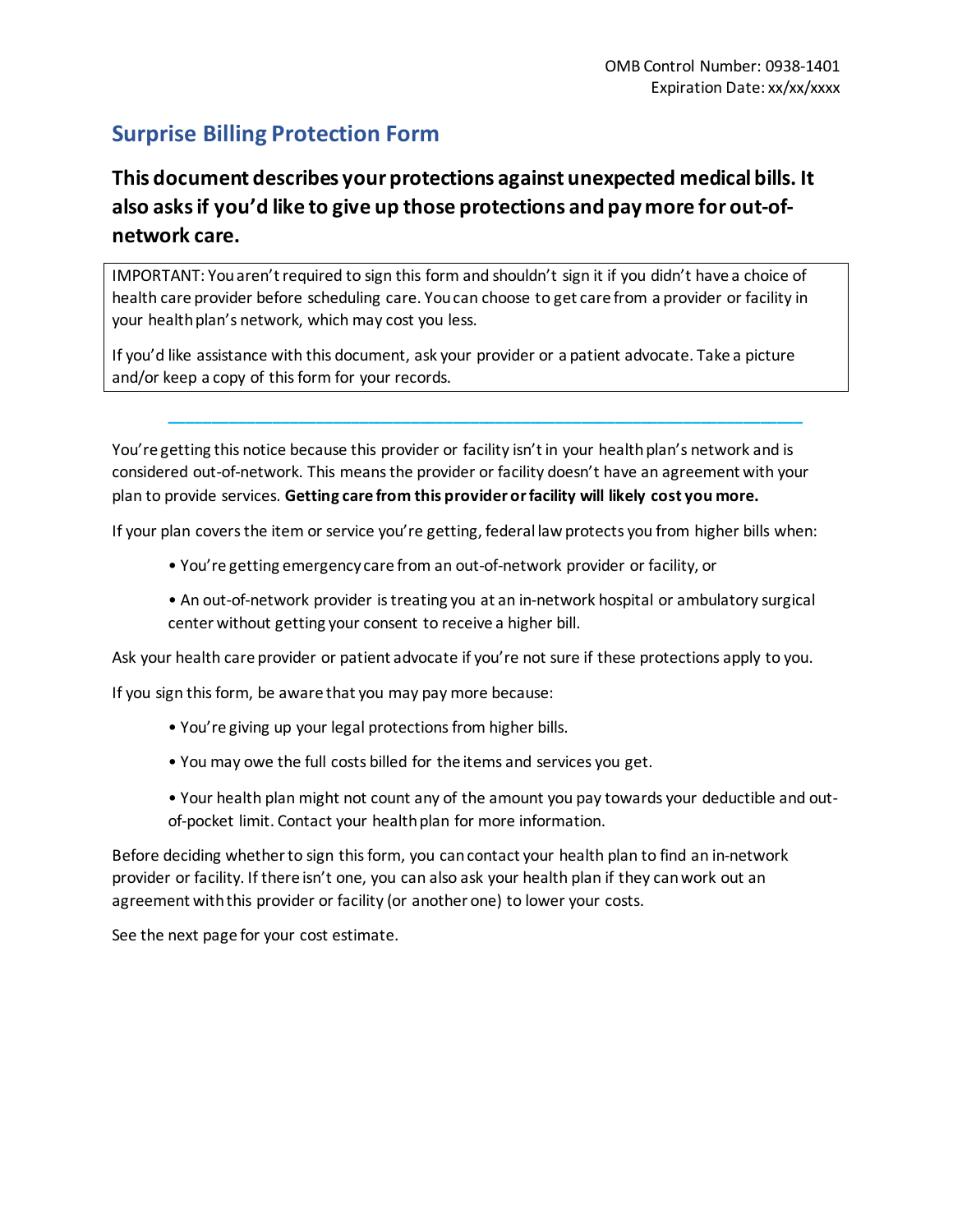# **Surprise Billing Protection Form**

# **This document describes your protections against unexpected medical bills. It also asks if you'd like to give up those protections and pay more for out-ofnetwork care.**

IMPORTANT: You aren't required to sign this form and shouldn't sign it if you didn't have a choice of health care provider before scheduling care. You can choose to get care from a provider or facility in your health plan's network, which may cost you less.

If you'd like assistance with this document, ask your provider or a patient advocate. Take a picture and/or keep a copy of this form for your records.

You're getting this notice because this provider or facility isn't in your health plan's network and is considered out-of-network. This means the provider or facility doesn't have an agreement with your plan to provide services. **Getting care from this provider or facility will likely cost you more.**

**\_\_\_\_\_\_\_\_\_\_\_\_\_\_\_\_\_\_\_\_\_\_\_\_\_\_\_\_\_\_\_\_\_\_\_\_\_\_\_\_\_\_\_\_\_\_\_\_\_\_\_\_\_\_\_\_\_\_\_\_\_\_\_\_\_\_\_\_\_\_\_\_\_\_**

If your plan covers the item or service you're getting, federal law protects you from higher bills when:

- You're getting emergency care from an out-of-network provider or facility, or
- An out-of-network provider is treating you at an in-network hospital or ambulatory surgical center without getting your consent to receive a higher bill.

Ask your health care provider or patient advocate if you're not sure if these protections apply to you.

If you sign this form, be aware that you may pay more because:

- You're giving up your legal protections from higher bills.
- You may owe the full costs billed for the items and services you get.
- Your health plan might not count any of the amount you pay towards your deductible and outof-pocket limit. Contact your health plan for more information.

Before deciding whether to sign this form, you can contact your health plan to find an in-network provider or facility. If there isn't one, you can also ask your health plan if they can work out an agreement with this provider or facility (or another one) to lower your costs.

See the next page for your cost estimate.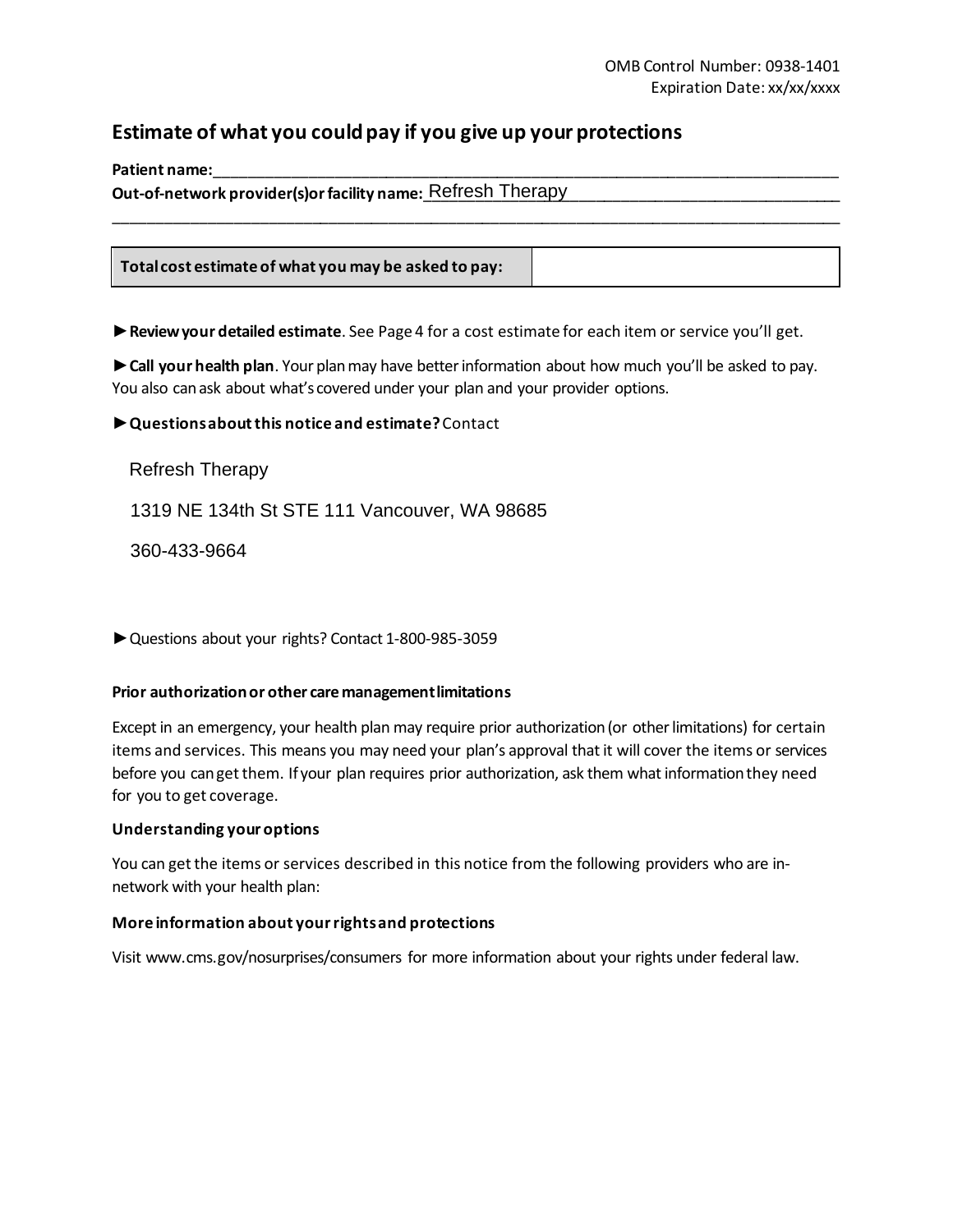### **Estimate of what you could pay if you give up your protections**

Patient name:

Out-of-network provider(s)or facility name:<u>\_Refresh\_Therapy\_\_\_\_\_\_\_\_\_\_\_\_\_\_\_\_\_\_\_\_\_\_\_\_\_\_\_\_\_\_\_\_</u>

**Total cost estimate of what you may be asked to pay:**

**Review your detailed estimate**. See Page 4 for a cost estimate for each item or service you'll get.

\_\_\_\_\_\_\_\_\_\_\_\_\_\_\_\_\_\_\_\_\_\_\_\_\_\_\_\_\_\_\_\_\_\_\_\_\_\_\_\_\_\_\_\_\_\_\_\_\_\_\_\_\_\_\_\_\_\_\_\_\_\_\_\_\_\_\_\_\_\_\_\_\_\_\_\_\_\_\_\_\_\_\_\_\_

**Call your health plan**. Your plan may have better information about how much you'll be asked to pay. You also can ask about what's covered under your plan and your provider options.

▶ Questions about this notice and estimate? Contact

Refresh Therapy

1319 NE 134th St STE 111 Vancouver, WA 98685

360-433-9664

▶ Questions about your rights? Contact 1-800-985-3059

#### **Prior authorization or other care management limitations**

Except in an emergency, your health plan may require prior authorization (or other limitations) for certain items and services. This means you may need your plan's approval thatit will cover the items or services before you can get them. If your plan requires prior authorization, ask them what information they need for you to get coverage.

#### **Understanding your options**

You can get the items or services described in this notice from the following providers who are innetwork with your health plan:

#### **More information about your rights and protections**

Visit www.cms.gov/nosurprises/consumers for more information about your rights under federal law.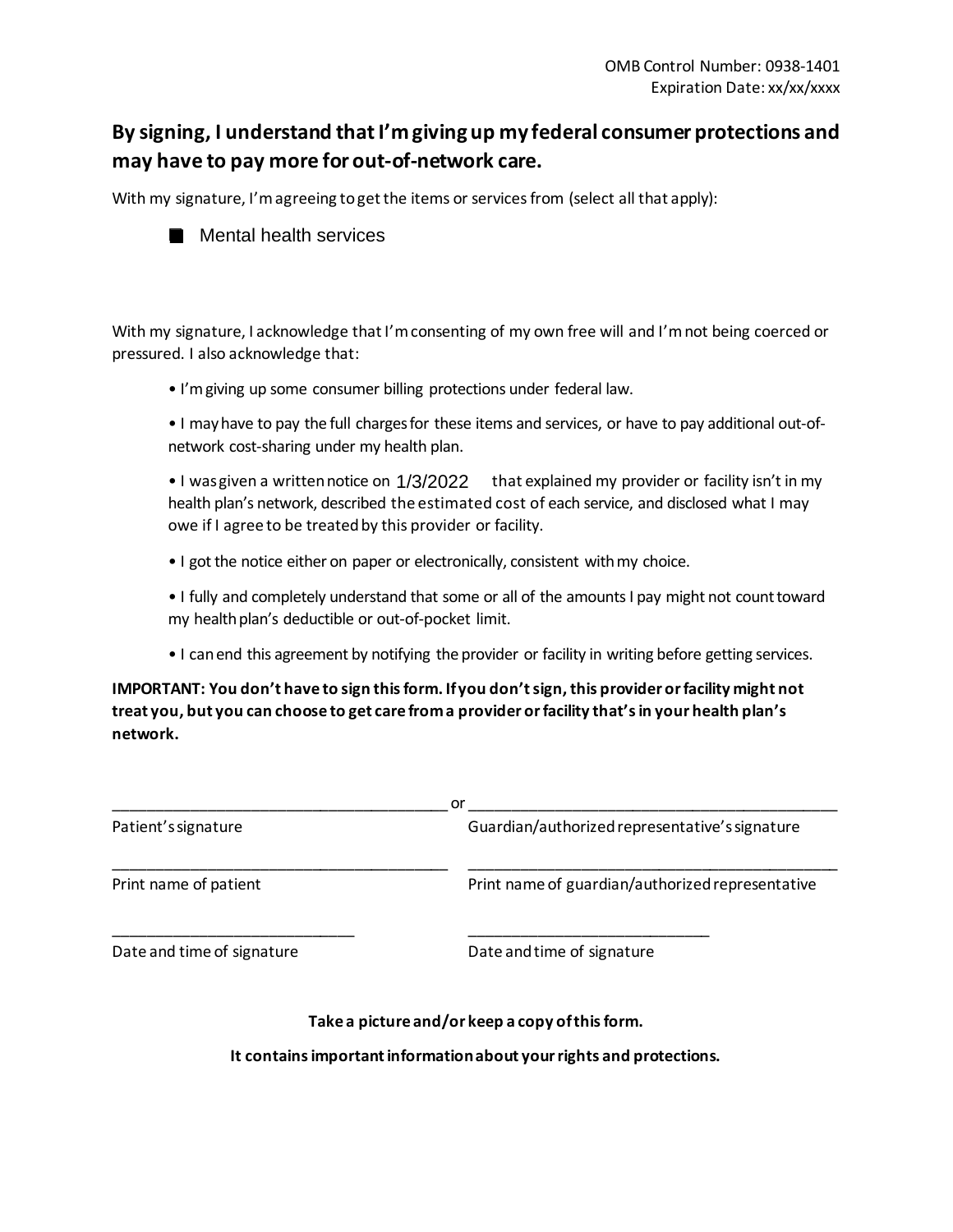## **By signing, I understand that I'm giving up my federal consumer protections and may have to pay more for out-of-network care.**

With my signature, I'm agreeing to get the items or services from (select all that apply):



With my signature, I acknowledge that I'm consenting of my own free will and I'm not being coerced or pressured. I also acknowledge that:

• I'mgiving up some consumer billing protections under federal law.

• I may have to pay the full chargesfor these items and services, or have to pay additional out-ofnetwork cost-sharing under my health plan. Mental health services<br>
hature, I acknowledge that I'm consenti<br>
halso acknowledge that:<br>
n giving up some consumer billing proted<br>
hay have to pay the full charges for these<br>
ork cost-sharing under my health plan.<br>
ras gi

 $\bullet$  I was given a written notice on  $1/3/2022$  that explained my provider or facility isn't in my health plan's network, described the estimated cost of each service, and disclosed what I may owe if I agree to be treatedby this provider or facility.

• I got the notice either on paper or electronically, consistent with my choice.

• I fully and completely understand that some or all of the amounts I pay might not counttoward my health plan's deductible or out-of-pocket limit.

• I can end this agreement by notifying the provider or facility in writing before getting services.

**IMPORTANT: You don't have to sign this form. Ifyou don't sign, this provider or facility might not treat you, but you can choose to get care from a provider or facility that'sin your health plan's network.**

|                            | or                                               |  |  |
|----------------------------|--------------------------------------------------|--|--|
| Patient's signature        | Guardian/authorized representative's signature   |  |  |
| Print name of patient      | Print name of guardian/authorized representative |  |  |
| Date and time of signature | Date and time of signature                       |  |  |

#### **Take a picture and/or keep a copy of this form.**

**It contains important information about your rights and protections.**